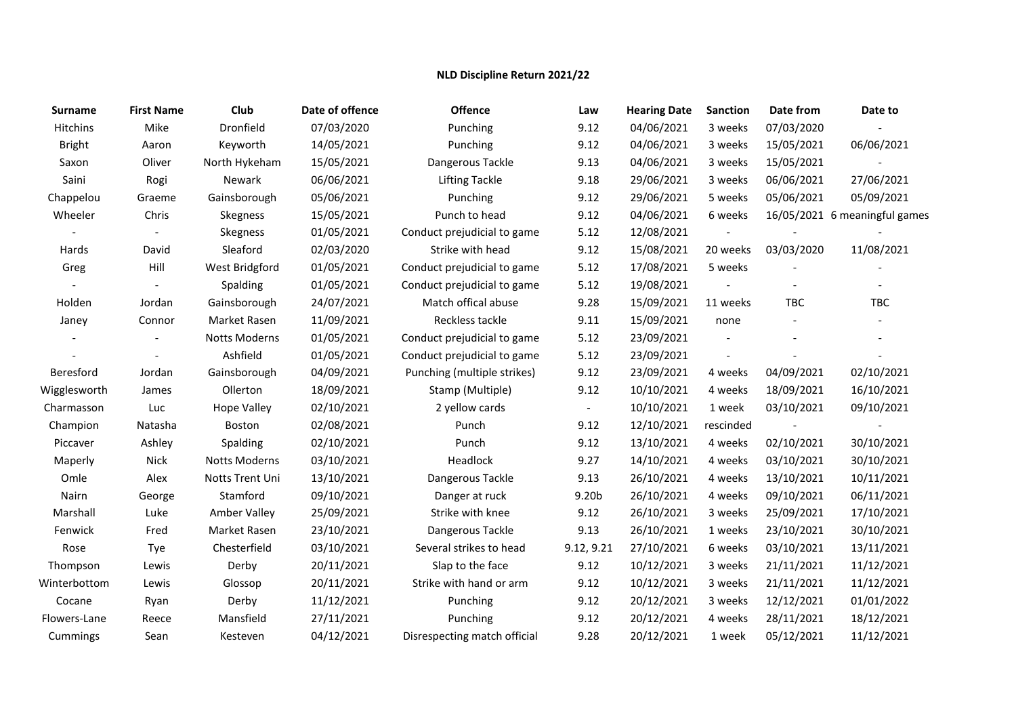## **NLD Discipline Return 2021/22**

| Surname          | <b>First Name</b> | Club                 | Date of offence | <b>Offence</b>               | Law                      | <b>Hearing Date</b> | <b>Sanction</b> | Date from  | Date to                       |
|------------------|-------------------|----------------------|-----------------|------------------------------|--------------------------|---------------------|-----------------|------------|-------------------------------|
| Hitchins         | Mike              | Dronfield            | 07/03/2020      | Punching                     | 9.12                     | 04/06/2021          | 3 weeks         | 07/03/2020 |                               |
| <b>Bright</b>    | Aaron             | Keyworth             | 14/05/2021      | Punching                     | 9.12                     | 04/06/2021          | 3 weeks         | 15/05/2021 | 06/06/2021                    |
| Saxon            | Oliver            | North Hykeham        | 15/05/2021      | Dangerous Tackle             | 9.13                     | 04/06/2021          | 3 weeks         | 15/05/2021 |                               |
| Saini            | Rogi              | Newark               | 06/06/2021      | <b>Lifting Tackle</b>        | 9.18                     | 29/06/2021          | 3 weeks         | 06/06/2021 | 27/06/2021                    |
| Chappelou        | Graeme            | Gainsborough         | 05/06/2021      | Punching                     | 9.12                     | 29/06/2021          | 5 weeks         | 05/06/2021 | 05/09/2021                    |
| Wheeler          | Chris             | Skegness             | 15/05/2021      | Punch to head                | 9.12                     | 04/06/2021          | 6 weeks         |            | 16/05/2021 6 meaningful games |
|                  |                   | Skegness             | 01/05/2021      | Conduct prejudicial to game  | 5.12                     | 12/08/2021          |                 |            |                               |
| Hards            | David             | Sleaford             | 02/03/2020      | Strike with head             | 9.12                     | 15/08/2021          | 20 weeks        | 03/03/2020 | 11/08/2021                    |
| Greg             | Hill              | West Bridgford       | 01/05/2021      | Conduct prejudicial to game  | 5.12                     | 17/08/2021          | 5 weeks         |            |                               |
|                  |                   | Spalding             | 01/05/2021      | Conduct prejudicial to game  | 5.12                     | 19/08/2021          |                 |            |                               |
| Holden           | Jordan            | Gainsborough         | 24/07/2021      | Match offical abuse          | 9.28                     | 15/09/2021          | 11 weeks        | <b>TBC</b> | <b>TBC</b>                    |
| Janey            | Connor            | Market Rasen         | 11/09/2021      | Reckless tackle              | 9.11                     | 15/09/2021          | none            |            |                               |
|                  |                   | Notts Moderns        | 01/05/2021      | Conduct prejudicial to game  | 5.12                     | 23/09/2021          |                 |            |                               |
|                  |                   | Ashfield             | 01/05/2021      | Conduct prejudicial to game  | 5.12                     | 23/09/2021          |                 |            |                               |
| <b>Beresford</b> | Jordan            | Gainsborough         | 04/09/2021      | Punching (multiple strikes)  | 9.12                     | 23/09/2021          | 4 weeks         | 04/09/2021 | 02/10/2021                    |
| Wigglesworth     | James             | Ollerton             | 18/09/2021      | Stamp (Multiple)             | 9.12                     | 10/10/2021          | 4 weeks         | 18/09/2021 | 16/10/2021                    |
| Charmasson       | Luc               | <b>Hope Valley</b>   | 02/10/2021      | 2 yellow cards               | $\overline{\phantom{a}}$ | 10/10/2021          | 1 week          | 03/10/2021 | 09/10/2021                    |
| Champion         | Natasha           | Boston               | 02/08/2021      | Punch                        | 9.12                     | 12/10/2021          | rescinded       |            |                               |
| Piccaver         | Ashley            | Spalding             | 02/10/2021      | Punch                        | 9.12                     | 13/10/2021          | 4 weeks         | 02/10/2021 | 30/10/2021                    |
| Maperly          | Nick              | <b>Notts Moderns</b> | 03/10/2021      | Headlock                     | 9.27                     | 14/10/2021          | 4 weeks         | 03/10/2021 | 30/10/2021                    |
| Omle             | Alex              | Notts Trent Uni      | 13/10/2021      | Dangerous Tackle             | 9.13                     | 26/10/2021          | 4 weeks         | 13/10/2021 | 10/11/2021                    |
| Nairn            | George            | Stamford             | 09/10/2021      | Danger at ruck               | 9.20b                    | 26/10/2021          | 4 weeks         | 09/10/2021 | 06/11/2021                    |
| Marshall         | Luke              | Amber Valley         | 25/09/2021      | Strike with knee             | 9.12                     | 26/10/2021          | 3 weeks         | 25/09/2021 | 17/10/2021                    |
| Fenwick          | Fred              | Market Rasen         | 23/10/2021      | Dangerous Tackle             | 9.13                     | 26/10/2021          | 1 weeks         | 23/10/2021 | 30/10/2021                    |
| Rose             | Tye               | Chesterfield         | 03/10/2021      | Several strikes to head      | 9.12, 9.21               | 27/10/2021          | 6 weeks         | 03/10/2021 | 13/11/2021                    |
| Thompson         | Lewis             | Derby                | 20/11/2021      | Slap to the face             | 9.12                     | 10/12/2021          | 3 weeks         | 21/11/2021 | 11/12/2021                    |
| Winterbottom     | Lewis             | Glossop              | 20/11/2021      | Strike with hand or arm      | 9.12                     | 10/12/2021          | 3 weeks         | 21/11/2021 | 11/12/2021                    |
| Cocane           | Ryan              | Derby                | 11/12/2021      | Punching                     | 9.12                     | 20/12/2021          | 3 weeks         | 12/12/2021 | 01/01/2022                    |
| Flowers-Lane     | Reece             | Mansfield            | 27/11/2021      | Punching                     | 9.12                     | 20/12/2021          | 4 weeks         | 28/11/2021 | 18/12/2021                    |
| Cummings         | Sean              | Kesteven             | 04/12/2021      | Disrespecting match official | 9.28                     | 20/12/2021          | 1 week          | 05/12/2021 | 11/12/2021                    |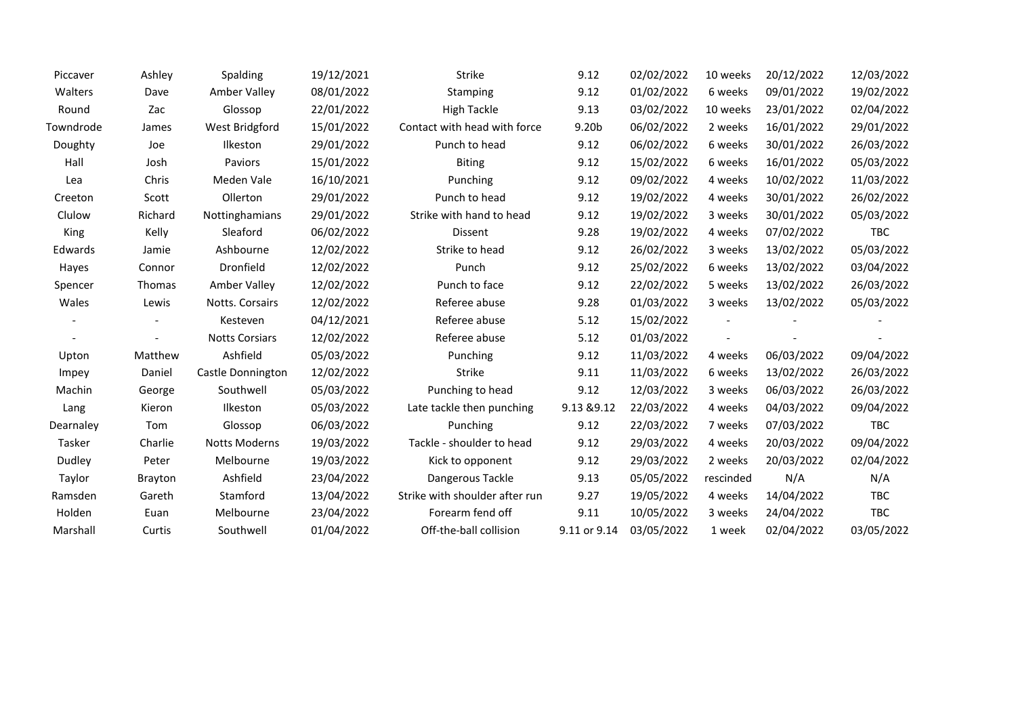| Piccaver  | Ashley         | Spalding              | 19/12/2021 | Strike                         | 9.12         | 02/02/2022 | 10 weeks  | 20/12/2022 | 12/03/2022 |
|-----------|----------------|-----------------------|------------|--------------------------------|--------------|------------|-----------|------------|------------|
| Walters   | Dave           | Amber Valley          | 08/01/2022 | <b>Stamping</b>                | 9.12         | 01/02/2022 | 6 weeks   | 09/01/2022 | 19/02/2022 |
| Round     | Zac            | Glossop               | 22/01/2022 | <b>High Tackle</b>             | 9.13         | 03/02/2022 | 10 weeks  | 23/01/2022 | 02/04/2022 |
| Towndrode | James          | West Bridgford        | 15/01/2022 | Contact with head with force   | 9.20b        | 06/02/2022 | 2 weeks   | 16/01/2022 | 29/01/2022 |
| Doughty   | Joe            | Ilkeston              | 29/01/2022 | Punch to head                  | 9.12         | 06/02/2022 | 6 weeks   | 30/01/2022 | 26/03/2022 |
| Hall      | Josh           | Paviors               | 15/01/2022 | <b>Biting</b>                  | 9.12         | 15/02/2022 | 6 weeks   | 16/01/2022 | 05/03/2022 |
| Lea       | Chris          | Meden Vale            | 16/10/2021 | Punching                       | 9.12         | 09/02/2022 | 4 weeks   | 10/02/2022 | 11/03/2022 |
| Creeton   | Scott          | Ollerton              | 29/01/2022 | Punch to head                  | 9.12         | 19/02/2022 | 4 weeks   | 30/01/2022 | 26/02/2022 |
| Clulow    | Richard        | Nottinghamians        | 29/01/2022 | Strike with hand to head       | 9.12         | 19/02/2022 | 3 weeks   | 30/01/2022 | 05/03/2022 |
| King      | Kelly          | Sleaford              | 06/02/2022 | Dissent                        | 9.28         | 19/02/2022 | 4 weeks   | 07/02/2022 | <b>TBC</b> |
| Edwards   | Jamie          | Ashbourne             | 12/02/2022 | Strike to head                 | 9.12         | 26/02/2022 | 3 weeks   | 13/02/2022 | 05/03/2022 |
| Hayes     | Connor         | Dronfield             | 12/02/2022 | Punch                          | 9.12         | 25/02/2022 | 6 weeks   | 13/02/2022 | 03/04/2022 |
| Spencer   | Thomas         | Amber Valley          | 12/02/2022 | Punch to face                  | 9.12         | 22/02/2022 | 5 weeks   | 13/02/2022 | 26/03/2022 |
| Wales     | Lewis          | Notts. Corsairs       | 12/02/2022 | Referee abuse                  | 9.28         | 01/03/2022 | 3 weeks   | 13/02/2022 | 05/03/2022 |
|           |                | Kesteven              | 04/12/2021 | Referee abuse                  | 5.12         | 15/02/2022 |           |            |            |
|           |                | <b>Notts Corsiars</b> | 12/02/2022 | Referee abuse                  | 5.12         | 01/03/2022 |           |            |            |
| Upton     | Matthew        | Ashfield              | 05/03/2022 | Punching                       | 9.12         | 11/03/2022 | 4 weeks   | 06/03/2022 | 09/04/2022 |
| Impey     | Daniel         | Castle Donnington     | 12/02/2022 | Strike                         | 9.11         | 11/03/2022 | 6 weeks   | 13/02/2022 | 26/03/2022 |
| Machin    | George         | Southwell             | 05/03/2022 | Punching to head               | 9.12         | 12/03/2022 | 3 weeks   | 06/03/2022 | 26/03/2022 |
| Lang      | Kieron         | Ilkeston              | 05/03/2022 | Late tackle then punching      | 9.13 & 9.12  | 22/03/2022 | 4 weeks   | 04/03/2022 | 09/04/2022 |
| Dearnaley | Tom            | Glossop               | 06/03/2022 | Punching                       | 9.12         | 22/03/2022 | 7 weeks   | 07/03/2022 | <b>TBC</b> |
| Tasker    | Charlie        | <b>Notts Moderns</b>  | 19/03/2022 | Tackle - shoulder to head      | 9.12         | 29/03/2022 | 4 weeks   | 20/03/2022 | 09/04/2022 |
| Dudley    | Peter          | Melbourne             | 19/03/2022 | Kick to opponent               | 9.12         | 29/03/2022 | 2 weeks   | 20/03/2022 | 02/04/2022 |
| Taylor    | <b>Brayton</b> | Ashfield              | 23/04/2022 | Dangerous Tackle               | 9.13         | 05/05/2022 | rescinded | N/A        | N/A        |
| Ramsden   | Gareth         | Stamford              | 13/04/2022 | Strike with shoulder after run | 9.27         | 19/05/2022 | 4 weeks   | 14/04/2022 | <b>TBC</b> |
| Holden    | Euan           | Melbourne             | 23/04/2022 | Forearm fend off               | 9.11         | 10/05/2022 | 3 weeks   | 24/04/2022 | <b>TBC</b> |
| Marshall  | Curtis         | Southwell             | 01/04/2022 | Off-the-ball collision         | 9.11 or 9.14 | 03/05/2022 | 1 week    | 02/04/2022 | 03/05/2022 |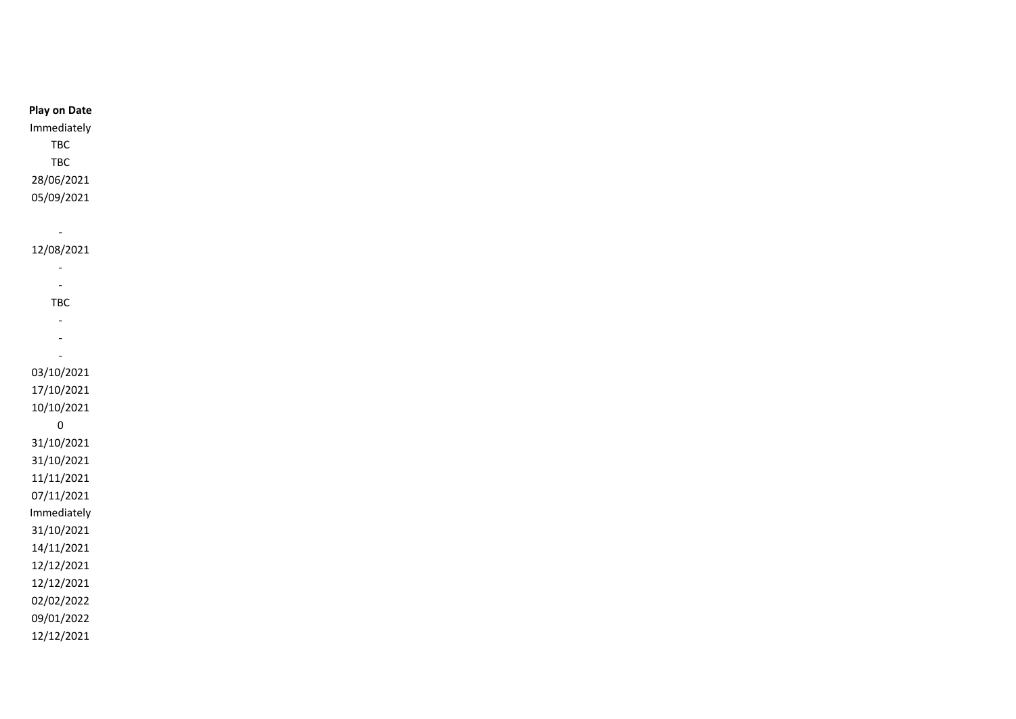| <b>Play on Date</b>      |
|--------------------------|
| Immediately              |
| TBC                      |
| <b>TBC</b>               |
| 28/06/2021               |
| 05/09/2021               |
|                          |
| $\blacksquare$           |
| 12/08/2021               |
| $\overline{\phantom{a}}$ |
| $\overline{\phantom{a}}$ |
| TBC                      |
| $\overline{\phantom{a}}$ |
| $\blacksquare$           |
| $\blacksquare$           |
| 03/10/2021               |
| 17/10/2021               |
| 10/10/2021               |
| $\pmb{0}$                |
| 31/10/2021               |
| 31/10/2021               |
| 11/11/2021               |
| 07/11/2021               |
| Immediately              |
| 31/10/2021               |
| 14/11/2021               |
| 12/12/2021               |
| 12/12/2021               |
|                          |
| 02/02/2022               |
| 09/01/2022               |
| 12/12/2021               |